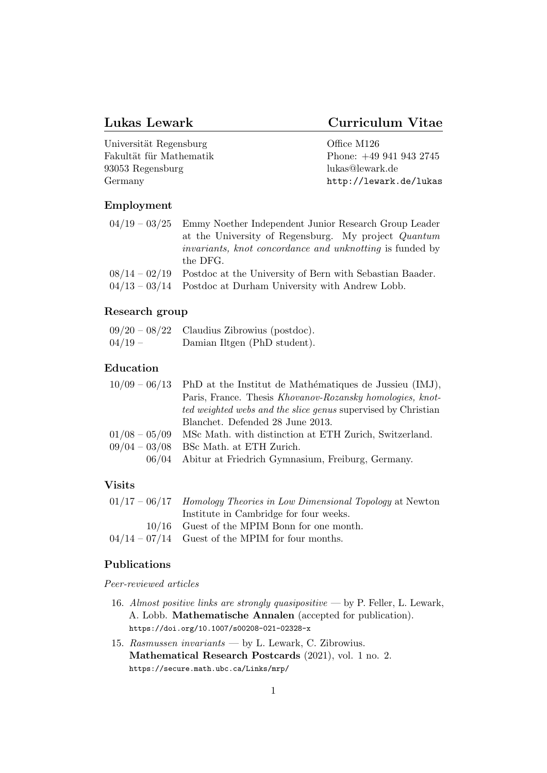# Lukas Lewark Curriculum Vitae

| Universität Regensburg  | Office M126            |
|-------------------------|------------------------|
| Fakultät für Mathematik | Phone: $+499419432745$ |
| 93053 Regensburg        | lukas@lewark.de        |
| Germany                 | http://lewark.de/lukas |

# Employment

| $04/19 - 03/25$ Emmy Noether Independent Junior Research Group Leader    |
|--------------------------------------------------------------------------|
| at the University of Regensburg. My project Quantum                      |
| <i>invariants, knot concordance and unknotting</i> is funded by          |
| the DFG.                                                                 |
| $08/14 - 02/19$ Postdoc at the University of Bern with Sebastian Baader. |
| $04/13 - 03/14$ Postdoc at Durham University with Andrew Lobb.           |

# Research group

|           | $09/20 - 08/22$ Claudius Zibrowius (postdoc). |
|-----------|-----------------------------------------------|
| $04/19 -$ | Damian Iltgen (PhD student).                  |

# Education

|                 | $10/09 - 06/13$ PhD at the Institut de Mathématiques de Jussieu (IMJ), |
|-----------------|------------------------------------------------------------------------|
|                 | Paris, France. Thesis Khovanov-Rozansky homologies, knot-              |
|                 | <i>ted weighted webs and the slice genus</i> supervised by Christian   |
|                 | Blanchet. Defended 28 June 2013.                                       |
| $01/08 - 05/09$ | MSc Math. with distinction at ETH Zurich, Switzerland.                 |
| $09/04 - 03/08$ | BSc Math. at ETH Zurich.                                               |
|                 |                                                                        |

06/04 Abitur at Friedrich Gymnasium, Freiburg, Germany.

# Visits

| $01/17 - 06/17$ Homology Theories in Low Dimensional Topology at Newton |
|-------------------------------------------------------------------------|
| Institute in Cambridge for four weeks.                                  |
| $10/16$ Guest of the MPIM Bonn for one month.                           |
| $04/14 - 07/14$ Guest of the MPIM for four months.                      |

# Publications

Peer-reviewed articles

- 16. [Almost positive links are strongly quasipositive](https://doi.org/10.1007/s00208-021-02328-x) by P. Feller, L. Lewark, A. Lobb. [Mathematische Annalen](https://doi.org/10.1007/s00208-021-02328-x) (accepted for publication). <https://doi.org/10.1007/s00208-021-02328-x>
- 15. Rasmussen invariants  [by L. Lewark, C. Zibrowius.](https://secure.math.ubc.ca/Links/mrp/) [Mathematical Research Postcards](https://secure.math.ubc.ca/Links/mrp/) (2021), vol. 1 no. 2. <https://secure.math.ubc.ca/Links/mrp/>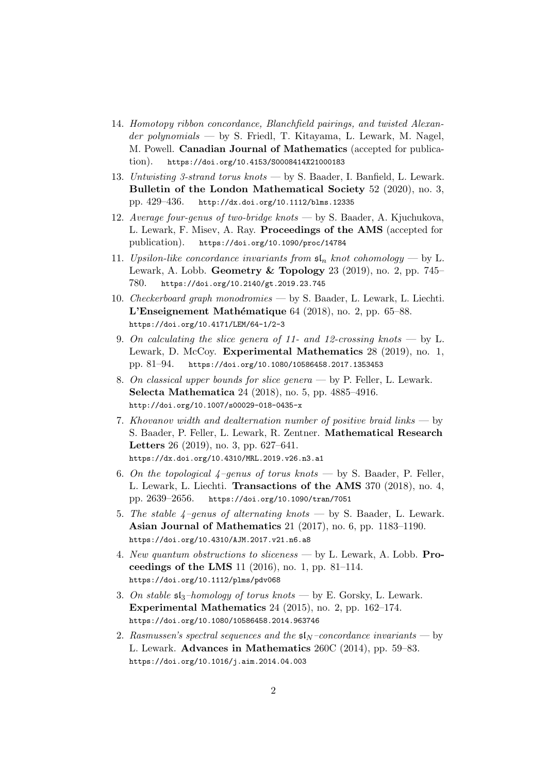- 14. [Homotopy ribbon concordance, Blanchfield pairings, and twisted Alexan-](http://arxiv.org/abs/2007.15289)der polynomials [— by S. Friedl, T. Kitayama, L. Lewark, M. Nagel,](http://arxiv.org/abs/2007.15289) M. Powell. [Canadian Journal of Mathematics](http://arxiv.org/abs/2007.15289) (accepted for publication). [https://doi.org/10.4153/S0008414X21000183](http://arxiv.org/abs/2007.15289)
- 13. Untwisting 3-strand torus knots  [by S. Baader, I. Banfield, L. Lewark.](http://dx.doi.org/10.1112/blms.12335) [Bulletin of the London Mathematical Society](http://dx.doi.org/10.1112/blms.12335) 52 (2020), no. 3, pp. 429–436. <http://dx.doi.org/10.1112/blms.12335>
- 12. [Average four-genus of two-bridge knots](http://arxiv.org/abs/1902.05721) by S. Baader, A. Kjuchukova, [L. Lewark, F. Misev, A. Ray.](http://arxiv.org/abs/1902.05721) Proceedings of the AMS (accepted for publication). [https://doi.org/10.1090/proc/14784](http://arxiv.org/abs/1902.05721)
- 11. [Upsilon-like concordance invariants from](https://doi.org/10.2140/gt.2019.23.745)  $\mathfrak{sl}_n$  knot cohomology by L. Lewark, A. Lobb. Geometry & Topology [23 \(2019\), no. 2, pp. 745–](https://doi.org/10.2140/gt.2019.23.745) 780. <https://doi.org/10.2140/gt.2019.23.745>
- 10. Checkerboard graph monodromies  [by S. Baader, L. Lewark, L. Liechti.](https://doi.org/10.4171/LEM/64-1/2-3) L'Enseignement Mathématique  $64$  (2018), no. 2, pp. 65–88. <https://doi.org/10.4171/LEM/64-1/2-3>
- 9. [On calculating the slice genera of 11- and 12-crossing knots](https://doi.org/10.1080/10586458.2017.1353453)  $-$  by L. Lewark, D. McCoy. [Experimental Mathematics](https://doi.org/10.1080/10586458.2017.1353453) 28 (2019), no. 1, pp. 81–94. <https://doi.org/10.1080/10586458.2017.1353453>
- 8. [On classical upper bounds for slice genera](http://doi.org/10.1007/s00029-018-0435-x) by P. Feller, L. Lewark. Selecta Mathematica [24 \(2018\), no. 5, pp. 4885–4916.](http://doi.org/10.1007/s00029-018-0435-x) <http://doi.org/10.1007/s00029-018-0435-x>
- 7. [Khovanov width and dealternation number of positive braid links](https://dx.doi.org/10.4310/MRL.2019.v26.n3.a1)  $-$  by [S. Baader, P. Feller, L. Lewark, R. Zentner.](https://dx.doi.org/10.4310/MRL.2019.v26.n3.a1) Mathematical Research Letters [26 \(2019\), no. 3, pp. 627–641.](https://dx.doi.org/10.4310/MRL.2019.v26.n3.a1) <https://dx.doi.org/10.4310/MRL.2019.v26.n3.a1>
- 6. On the topological  $4$ -genus of torus knots by S. Baader, P. Feller, L. Lewark, L. Liechti. [Transactions of the AMS](https://doi.org/10.1090/tran/7051) 370 (2018), no. 4, pp. 2639–2656. <https://doi.org/10.1090/tran/7051>
- 5. The stable  $4$ -genus of alternating knots by S. Baader, L. Lewark. [Asian Journal of Mathematics](https://doi.org/10.4310/AJM.2017.v21.n6.a8) 21 (2017), no. 6, pp. 1183–1190. <https://doi.org/10.4310/AJM.2017.v21.n6.a8>
- 4. [New quantum obstructions to sliceness](https://doi.org/10.1112/plms/pdv068) by L. Lewark, A. Lobb. Proceedings of the LMS [11 \(2016\), no. 1, pp. 81–114.](https://doi.org/10.1112/plms/pdv068) <https://doi.org/10.1112/plms/pdv068>
- 3. On stable  $\mathfrak{sl}_3$ -homology of torus knots  [by E. Gorsky, L. Lewark.](https://doi.org/10.1080/10586458.2014.963746) [Experimental Mathematics](https://doi.org/10.1080/10586458.2014.963746) 24 (2015), no. 2, pp. 162–174. <https://doi.org/10.1080/10586458.2014.963746>
- 2. [Rasmussen's spectral sequences and the](http://dx.doi.org/10.1016/j.aim.2014.04.003)  $\mathfrak{sl}_N$ -concordance invariants by L. Lewark. [Advances in Mathematics](http://dx.doi.org/10.1016/j.aim.2014.04.003) 260C (2014), pp. 59–83. [https://doi.org/10.1016/j.aim.2014.04.003](http://dx.doi.org/10.1016/j.aim.2014.04.003)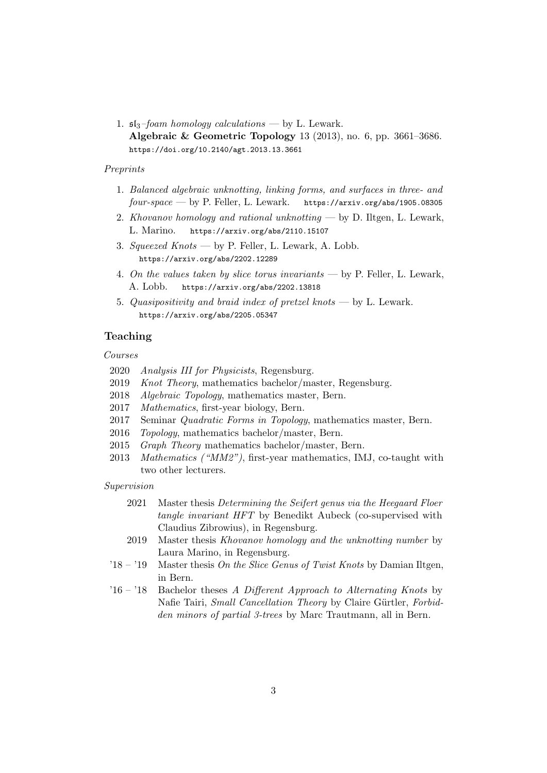1.  $\mathfrak{sl}_3$ -foam homology calculations — by L. Lewark. [Algebraic & Geometric Topology](http://msp.org/agt/2013/13-6/p20.xhtml) 13 (2013), no. 6, pp. 3661–3686. [https://doi.org/10.2140/agt.2013.13.3661](http://msp.org/agt/2013/13-6/p20.xhtml)

### Preprints

- 1. [Balanced algebraic unknotting, linking forms, and surfaces in three- and](http://arxiv.org/abs/1905.08305)  $four-space \longrightarrow by P. Feller, L. Lewark.$  [https://arxiv.org/abs/1905.08305](http://arxiv.org/abs/1905.08305)
- 2. [Khovanov homology and rational unknotting](http://arxiv.org/abs/2110.15107) by  $D$ . Iltgen, L. Lewark, L. Marino. [https://arxiv.org/abs/2110.15107](http://arxiv.org/abs/2110.15107)
- 3. Squeezed Knots  [by P. Feller, L. Lewark, A. Lobb.](http://arxiv.org/abs/2202.12289) [https://arxiv.org/abs/2202.12289](http://arxiv.org/abs/2202.12289)
- 4. [On the values taken by slice torus invariants](http://arxiv.org/abs/2202.13818) by P. Feller, L. Lewark, A. Lobb. [https://arxiv.org/abs/2202.13818](http://arxiv.org/abs/2202.13818)
- 5. [Quasipositivity and braid index of pretzel knots](http://arxiv.org/abs/2205.05347 ) by L. Lewark. [https://arxiv.org/abs/2205.05347](http://arxiv.org/abs/2205.05347 )

# Teaching

Courses

- 2020 Analysis III for Physicists, Regensburg.
- 2019 Knot Theory, mathematics bachelor/master, Regensburg.
- 2018 Algebraic Topology, mathematics master, Bern.
- 2017 Mathematics, first-year biology, Bern.
- 2017 Seminar Quadratic Forms in Topology, mathematics master, Bern.
- 2016 Topology, mathematics bachelor/master, Bern.
- 2015 Graph Theory mathematics bachelor/master, Bern.
- 2013 Mathematics ("MM2"), first-year mathematics, IMJ, co-taught with two other lecturers.

Supervision

- 2021 Master thesis Determining the Seifert genus via the Heegaard Floer tangle invariant HFT by Benedikt Aubeck (co-supervised with Claudius Zibrowius), in Regensburg.
- 2019 Master thesis Khovanov homology and the unknotting number by Laura Marino, in Regensburg.
- '18 '19 Master thesis On the Slice Genus of Twist Knots by Damian Iltgen, in Bern.
- $16 18$  Bachelor theses A Different Approach to Alternating Knots by Nafie Tairi, Small Cancellation Theory by Claire Gürtler, Forbidden minors of partial 3-trees by Marc Trautmann, all in Bern.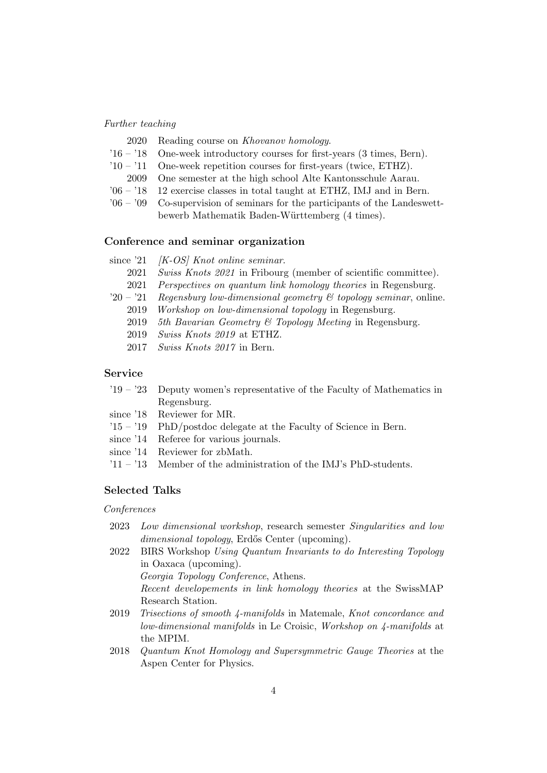#### Further teaching

- 2020 Reading course on Khovanov homology.
- '16 '18 One-week introductory courses for first-years (3 times, Bern).
- '10 '11 One-week repetition courses for first-years (twice, ETHZ).
	- 2009 One semester at the high school Alte Kantonsschule Aarau.
- '06 '18 12 exercise classes in total taught at ETHZ, IMJ and in Bern.
- '06 '09 Co-supervision of seminars for the participants of the Landeswettbewerb Mathematik Baden-Württemberg (4 times).

#### Conference and seminar organization

|           | since $21$ / <i>K-OS</i> / <i>Knot online seminar.</i>                     |
|-----------|----------------------------------------------------------------------------|
| 2021      | <i>Swiss Knots 2021</i> in Fribourg (member of scientific committee).      |
| 2021      | <i>Perspectives on quantum link homology theories</i> in Regensburg.       |
| $20 - 21$ | Regensburg low-dimensional geometry $\mathcal C$ topology seminar, online. |
| 2019      | Workshop on low-dimensional topology in Regensburg.                        |
| 2019      | 5th Bavarian Geometry & Topology Meeting in Regensburg.                    |
| 2019      | <i>Swiss Knots 2019</i> at ETHZ.                                           |
| 2017      | <i>Swiss Knots 2017</i> in Bern.                                           |

#### Service

| $19 - 23$ Deputy women's representative of the Faculty of Mathematics in |
|--------------------------------------------------------------------------|
| Regensburg.                                                              |

- since '18 Reviewer for MR.
- '15 '19 PhD/postdoc delegate at the Faculty of Science in Bern.
- since '14 Referee for various journals.
- since '14 Reviewer for zbMath.
- '11 '13 Member of the administration of the IMJ's PhD-students.

# Selected Talks

#### Conferences

- 2023 Low dimensional workshop, research semester Singularities and low dimensional topology, Erdős Center (upcoming).
- 2022 BIRS Workshop Using Quantum Invariants to do Interesting Topology in Oaxaca (upcoming). Georgia Topology Conference, Athens.

Recent developements in link homology theories at the SwissMAP Research Station.

- 2019 Trisections of smooth 4-manifolds in Matemale, Knot concordance and low-dimensional manifolds in Le Croisic, Workshop on 4-manifolds at the MPIM.
- 2018 Quantum Knot Homology and Supersymmetric Gauge Theories at the Aspen Center for Physics.